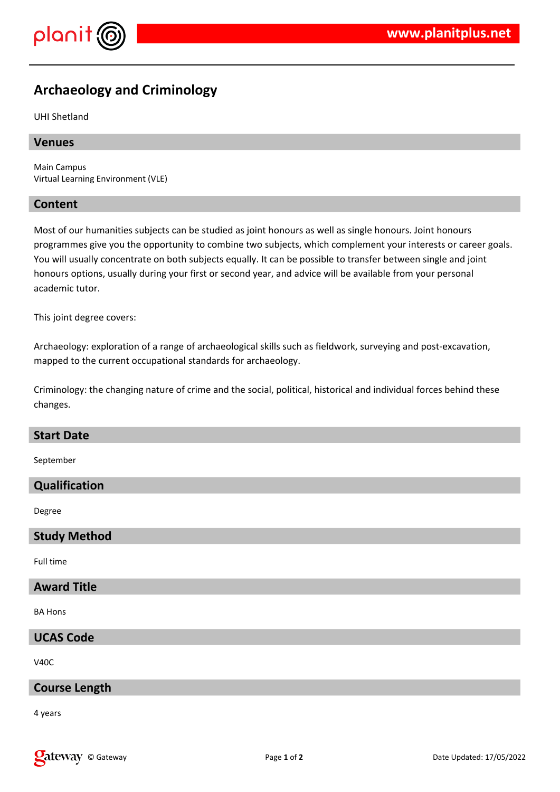

# **Archaeology and Criminology**

UHI Shetland

### **Venues**

Main Campus Virtual Learning Environment (VLE)

### **Content**

Most of our humanities subjects can be studied as joint honours as well as single honours. Joint honours programmes give you the opportunity to combine two subjects, which complement your interests or career goals. You will usually concentrate on both subjects equally. It can be possible to transfer between single and joint honours options, usually during your first or second year, and advice will be available from your personal academic tutor.

This joint degree covers:

Archaeology: exploration of a range of archaeological skills such as fieldwork, surveying and post-excavation, mapped to the current occupational standards for archaeology.

Criminology: the changing nature of crime and the social, political, historical and individual forces behind these changes.

### **Start Date**

September

### **Qualification**

Degree

### **Study Method**

Full time

### **Award Title**

BA Hons

### **UCAS Code**

V40C

### **Course Length**

4 years